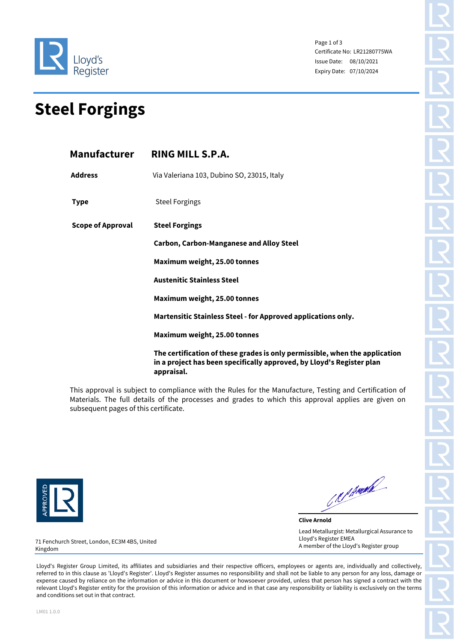

Page 1 of 3 Certificate No: LR21280775WA Issue Date: 08/10/2021 Expiry Date: 07/10/2024

## **Steel Forgings**

|                          | Manufacturer RING MILL S.P.A.                                                                                                                                      |  |  |  |
|--------------------------|--------------------------------------------------------------------------------------------------------------------------------------------------------------------|--|--|--|
| <b>Address</b>           | Via Valeriana 103, Dubino SO, 23015, Italy                                                                                                                         |  |  |  |
| <b>Type</b>              | <b>Steel Forgings</b>                                                                                                                                              |  |  |  |
| <b>Scope of Approval</b> | <b>Steel Forgings</b>                                                                                                                                              |  |  |  |
|                          | <b>Carbon, Carbon-Manganese and Alloy Steel</b>                                                                                                                    |  |  |  |
|                          | Maximum weight, 25.00 tonnes                                                                                                                                       |  |  |  |
|                          | <b>Austenitic Stainless Steel</b>                                                                                                                                  |  |  |  |
|                          | Maximum weight, 25.00 tonnes                                                                                                                                       |  |  |  |
|                          | Martensitic Stainless Steel - for Approved applications only.                                                                                                      |  |  |  |
|                          | Maximum weight, 25.00 tonnes                                                                                                                                       |  |  |  |
|                          | The certification of these grades is only permissible, when the application<br>in a project has been specifically approved, by Lloyd's Register plan<br>appraisal. |  |  |  |

This approval is subject to compliance with the Rules for the Manufacture, Testing and Certification of Materials. The full details of the processes and grades to which this approval applies are given on subsequent pages of this certificate.



C.R. P. Angel

**Clive Arnold** Lead Metallurgist: Metallurgical Assurance to Lloyd's Register EMEA A member of the Lloyd's Register group

71 Fenchurch Street, London, EC3M 4BS, United Kingdom

Lloyd's Register Group Limited, its affiliates and subsidiaries and their respective officers, employees or agents are, individually and collectively, referred to in this clause as 'Lloyd's Register'. Lloyd's Register assumes no responsibility and shall not be liable to any person for any loss, damage or expense caused by reliance on the information or advice in this document or howsoever provided, unless that person has signed a contract with the relevant Lloyd's Register entity for the provision of this information or advice and in that case any responsibility or liability is exclusively on the terms and conditions set out in that contract.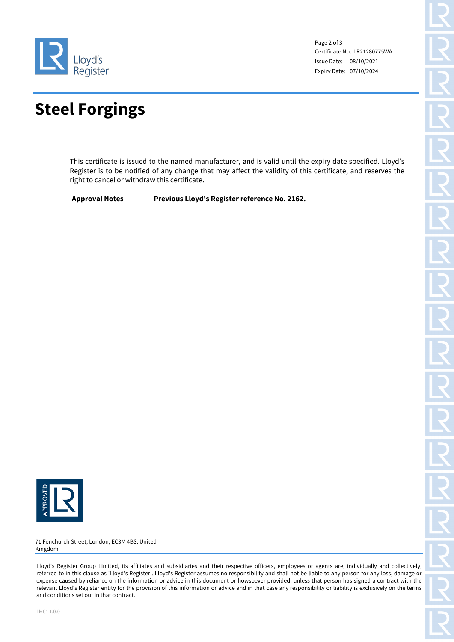

Page 2 of 3 Certificate No: LR21280775WA Issue Date: 08/10/2021 Expiry Date: 07/10/2024

## **Steel Forgings**

This certificate is issued to the named manufacturer, and is valid until the expiry date specified. Lloyd's Register is to be notified of any change that may affect the validity of this certificate, and reserves the right to cancel or withdraw this certificate.

**Approval Notes Previous Lloyd's Register reference No. 2162.** 



71 Fenchurch Street, London, EC3M 4BS, United Kingdom

Lloyd's Register Group Limited, its affiliates and subsidiaries and their respective officers, employees or agents are, individually and collectively, referred to in this clause as 'Lloyd's Register'. Lloyd's Register assumes no responsibility and shall not be liable to any person for any loss, damage or expense caused by reliance on the information or advice in this document or howsoever provided, unless that person has signed a contract with the relevant Lloyd's Register entity for the provision of this information or advice and in that case any responsibility or liability is exclusively on the terms and conditions set out in that contract.